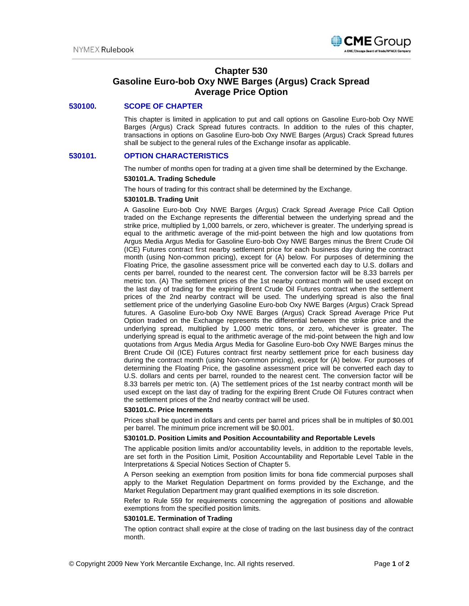

# **Chapter 530 Gasoline Euro-bob Oxy NWE Barges (Argus) Crack Spread Average Price Option**

### **530100. SCOPE OF CHAPTER**

This chapter is limited in application to put and call options on Gasoline Euro-bob Oxy NWE Barges (Argus) Crack Spread futures contracts. In addition to the rules of this chapter, transactions in options on Gasoline Euro-bob Oxy NWE Barges (Argus) Crack Spread futures shall be subject to the general rules of the Exchange insofar as applicable.

### **530101. OPTION CHARACTERISTICS**

The number of months open for trading at a given time shall be determined by the Exchange.

#### **530101.A. Trading Schedule**

The hours of trading for this contract shall be determined by the Exchange.

#### **530101.B. Trading Unit**

A Gasoline Euro-bob Oxy NWE Barges (Argus) Crack Spread Average Price Call Option traded on the Exchange represents the differential between the underlying spread and the strike price, multiplied by 1,000 barrels, or zero, whichever is greater. The underlying spread is equal to the arithmetic average of the mid-point between the high and low quotations from Argus Media Argus Media for Gasoline Euro-bob Oxy NWE Barges minus the Brent Crude Oil (ICE) Futures contract first nearby settlement price for each business day during the contract month (using Non-common pricing), except for (A) below. For purposes of determining the Floating Price, the gasoline assessment price will be converted each day to U.S. dollars and cents per barrel, rounded to the nearest cent. The conversion factor will be 8.33 barrels per metric ton. (A) The settlement prices of the 1st nearby contract month will be used except on the last day of trading for the expiring Brent Crude Oil Futures contract when the settlement prices of the 2nd nearby contract will be used. The underlying spread is also the final settlement price of the underlying Gasoline Euro-bob Oxy NWE Barges (Argus) Crack Spread futures. A Gasoline Euro-bob Oxy NWE Barges (Argus) Crack Spread Average Price Put Option traded on the Exchange represents the differential between the strike price and the underlying spread, multiplied by 1,000 metric tons, or zero, whichever is greater. The underlying spread is equal to the arithmetic average of the mid-point between the high and low quotations from Argus Media Argus Media for Gasoline Euro-bob Oxy NWE Barges minus the Brent Crude Oil (ICE) Futures contract first nearby settlement price for each business day during the contract month (using Non-common pricing), except for (A) below. For purposes of determining the Floating Price, the gasoline assessment price will be converted each day to U.S. dollars and cents per barrel, rounded to the nearest cent. The conversion factor will be 8.33 barrels per metric ton. (A) The settlement prices of the 1st nearby contract month will be used except on the last day of trading for the expiring Brent Crude Oil Futures contract when the settlement prices of the 2nd nearby contract will be used.

#### **530101.C. Price Increments**

Prices shall be quoted in dollars and cents per barrel and prices shall be in multiples of \$0.001 per barrel. The minimum price increment will be \$0.001.

#### **530101.D. Position Limits and Position Accountability and Reportable Levels**

The applicable position limits and/or accountability levels, in addition to the reportable levels, are set forth in the Position Limit, Position Accountability and Reportable Level Table in the Interpretations & Special Notices Section of Chapter 5.

A Person seeking an exemption from position limits for bona fide commercial purposes shall apply to the Market Regulation Department on forms provided by the Exchange, and the Market Regulation Department may grant qualified exemptions in its sole discretion.

Refer to Rule 559 for requirements concerning the aggregation of positions and allowable exemptions from the specified position limits.

#### **530101.E. Termination of Trading**

The option contract shall expire at the close of trading on the last business day of the contract month.